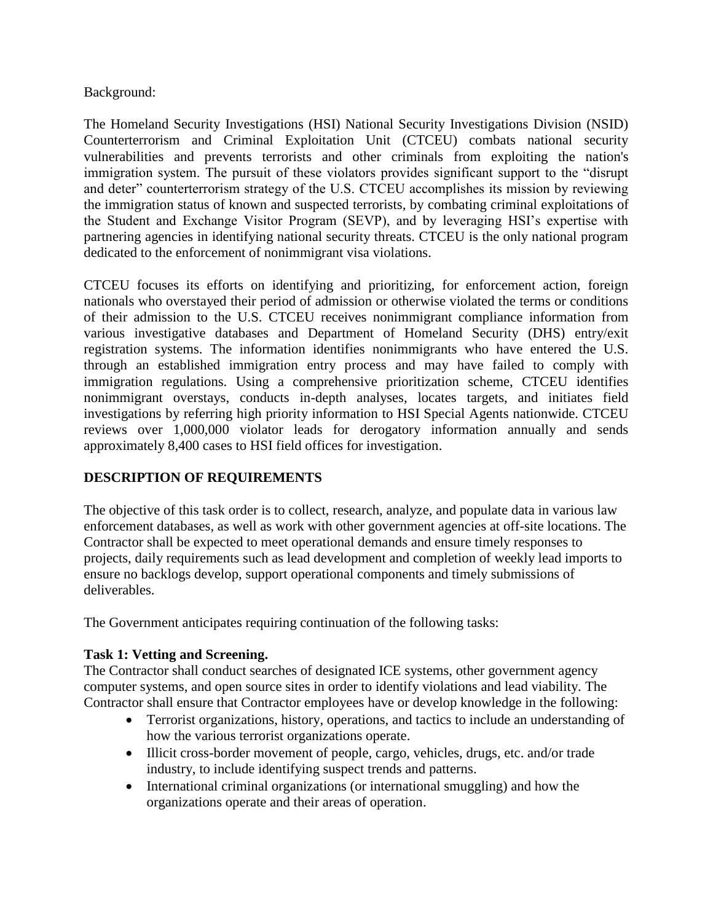#### Background:

The Homeland Security Investigations (HSI) National Security Investigations Division (NSID) Counterterrorism and Criminal Exploitation Unit (CTCEU) combats national security vulnerabilities and prevents terrorists and other criminals from exploiting the nation's immigration system. The pursuit of these violators provides significant support to the "disrupt and deter" counterterrorism strategy of the U.S. CTCEU accomplishes its mission by reviewing the immigration status of known and suspected terrorists, by combating criminal exploitations of the Student and Exchange Visitor Program (SEVP), and by leveraging HSI's expertise with partnering agencies in identifying national security threats. CTCEU is the only national program dedicated to the enforcement of nonimmigrant visa violations.

CTCEU focuses its efforts on identifying and prioritizing, for enforcement action, foreign nationals who overstayed their period of admission or otherwise violated the terms or conditions of their admission to the U.S. CTCEU receives nonimmigrant compliance information from various investigative databases and Department of Homeland Security (DHS) entry/exit registration systems. The information identifies nonimmigrants who have entered the U.S. through an established immigration entry process and may have failed to comply with immigration regulations. Using a comprehensive prioritization scheme, CTCEU identifies nonimmigrant overstays, conducts in-depth analyses, locates targets, and initiates field investigations by referring high priority information to HSI Special Agents nationwide. CTCEU reviews over 1,000,000 violator leads for derogatory information annually and sends approximately 8,400 cases to HSI field offices for investigation.

### **DESCRIPTION OF REQUIREMENTS**

The objective of this task order is to collect, research, analyze, and populate data in various law enforcement databases, as well as work with other government agencies at off-site locations. The Contractor shall be expected to meet operational demands and ensure timely responses to projects, daily requirements such as lead development and completion of weekly lead imports to ensure no backlogs develop, support operational components and timely submissions of deliverables.

The Government anticipates requiring continuation of the following tasks:

### **Task 1: Vetting and Screening.**

The Contractor shall conduct searches of designated ICE systems, other government agency computer systems, and open source sites in order to identify violations and lead viability. The Contractor shall ensure that Contractor employees have or develop knowledge in the following:

- Terrorist organizations, history, operations, and tactics to include an understanding of how the various terrorist organizations operate.
- Illicit cross-border movement of people, cargo, vehicles, drugs, etc. and/or trade industry, to include identifying suspect trends and patterns.
- International criminal organizations (or international smuggling) and how the organizations operate and their areas of operation.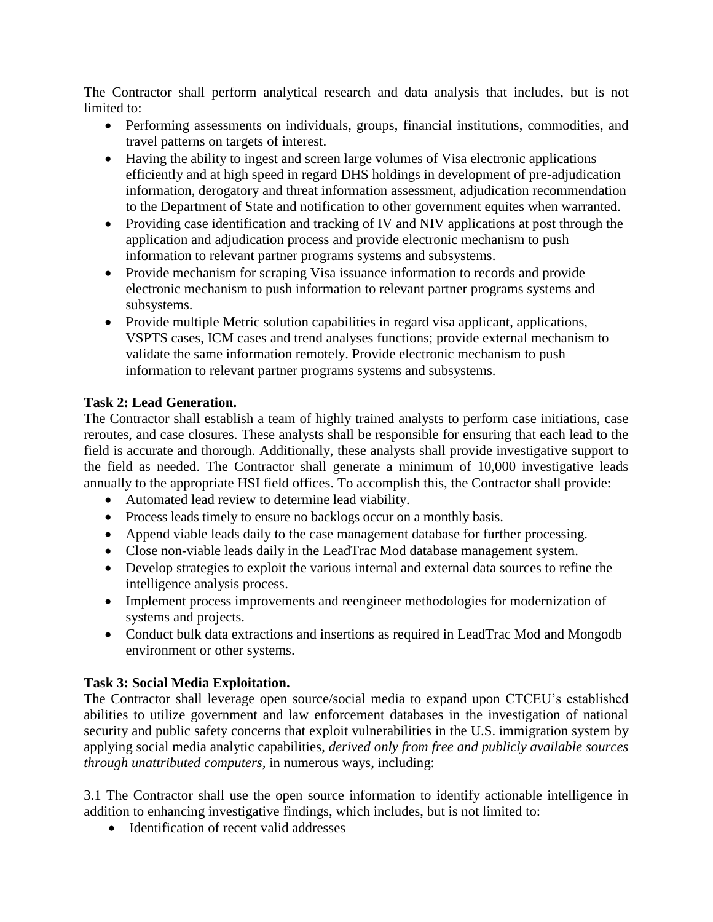The Contractor shall perform analytical research and data analysis that includes, but is not limited to:

- Performing assessments on individuals, groups, financial institutions, commodities, and travel patterns on targets of interest.
- Having the ability to ingest and screen large volumes of Visa electronic applications efficiently and at high speed in regard DHS holdings in development of pre-adjudication information, derogatory and threat information assessment, adjudication recommendation to the Department of State and notification to other government equites when warranted.
- Providing case identification and tracking of IV and NIV applications at post through the application and adjudication process and provide electronic mechanism to push information to relevant partner programs systems and subsystems.
- Provide mechanism for scraping Visa issuance information to records and provide electronic mechanism to push information to relevant partner programs systems and subsystems.
- Provide multiple Metric solution capabilities in regard visa applicant, applications, VSPTS cases, ICM cases and trend analyses functions; provide external mechanism to validate the same information remotely. Provide electronic mechanism to push information to relevant partner programs systems and subsystems.

### **Task 2: Lead Generation.**

The Contractor shall establish a team of highly trained analysts to perform case initiations, case reroutes, and case closures. These analysts shall be responsible for ensuring that each lead to the field is accurate and thorough. Additionally, these analysts shall provide investigative support to the field as needed. The Contractor shall generate a minimum of 10,000 investigative leads annually to the appropriate HSI field offices. To accomplish this, the Contractor shall provide:

- Automated lead review to determine lead viability.
- Process leads timely to ensure no backlogs occur on a monthly basis.
- Append viable leads daily to the case management database for further processing.
- Close non-viable leads daily in the LeadTrac Mod database management system.
- Develop strategies to exploit the various internal and external data sources to refine the intelligence analysis process.
- Implement process improvements and reengineer methodologies for modernization of systems and projects.
- Conduct bulk data extractions and insertions as required in LeadTrac Mod and Mongodb environment or other systems.

### **Task 3: Social Media Exploitation.**

The Contractor shall leverage open source/social media to expand upon CTCEU's established abilities to utilize government and law enforcement databases in the investigation of national security and public safety concerns that exploit vulnerabilities in the U.S. immigration system by applying social media analytic capabilities, *derived only from free and publicly available sources through unattributed computers,* in numerous ways, including:

3.1 The Contractor shall use the open source information to identify actionable intelligence in addition to enhancing investigative findings, which includes, but is not limited to:

• Identification of recent valid addresses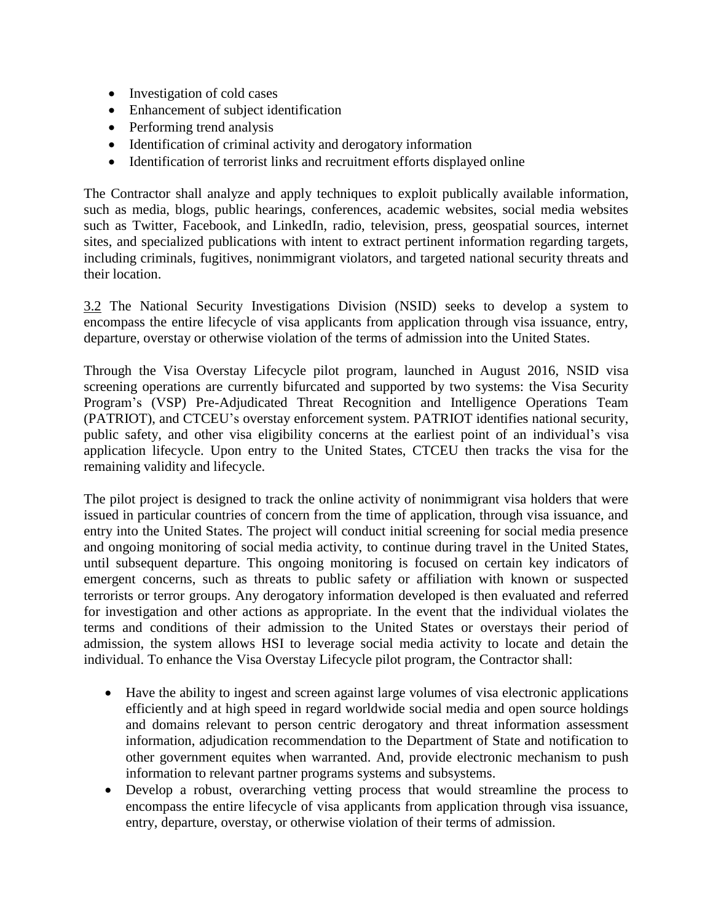- Investigation of cold cases
- Enhancement of subject identification
- Performing trend analysis
- Identification of criminal activity and derogatory information
- Identification of terrorist links and recruitment efforts displayed online

The Contractor shall analyze and apply techniques to exploit publically available information, such as media, blogs, public hearings, conferences, academic websites, social media websites such as Twitter, Facebook, and LinkedIn, radio, television, press, geospatial sources, internet sites, and specialized publications with intent to extract pertinent information regarding targets, including criminals, fugitives, nonimmigrant violators, and targeted national security threats and their location.

3.2 The National Security Investigations Division (NSID) seeks to develop a system to encompass the entire lifecycle of visa applicants from application through visa issuance, entry, departure, overstay or otherwise violation of the terms of admission into the United States.

Through the Visa Overstay Lifecycle pilot program, launched in August 2016, NSID visa screening operations are currently bifurcated and supported by two systems: the Visa Security Program's (VSP) Pre-Adjudicated Threat Recognition and Intelligence Operations Team (PATRIOT), and CTCEU's overstay enforcement system. PATRIOT identifies national security, public safety, and other visa eligibility concerns at the earliest point of an individual's visa application lifecycle. Upon entry to the United States, CTCEU then tracks the visa for the remaining validity and lifecycle.

The pilot project is designed to track the online activity of nonimmigrant visa holders that were issued in particular countries of concern from the time of application, through visa issuance, and entry into the United States. The project will conduct initial screening for social media presence and ongoing monitoring of social media activity, to continue during travel in the United States, until subsequent departure. This ongoing monitoring is focused on certain key indicators of emergent concerns, such as threats to public safety or affiliation with known or suspected terrorists or terror groups. Any derogatory information developed is then evaluated and referred for investigation and other actions as appropriate. In the event that the individual violates the terms and conditions of their admission to the United States or overstays their period of admission, the system allows HSI to leverage social media activity to locate and detain the individual. To enhance the Visa Overstay Lifecycle pilot program, the Contractor shall:

- Have the ability to ingest and screen against large volumes of visa electronic applications efficiently and at high speed in regard worldwide social media and open source holdings and domains relevant to person centric derogatory and threat information assessment information, adjudication recommendation to the Department of State and notification to other government equites when warranted. And, provide electronic mechanism to push information to relevant partner programs systems and subsystems.
- Develop a robust, overarching vetting process that would streamline the process to encompass the entire lifecycle of visa applicants from application through visa issuance, entry, departure, overstay, or otherwise violation of their terms of admission.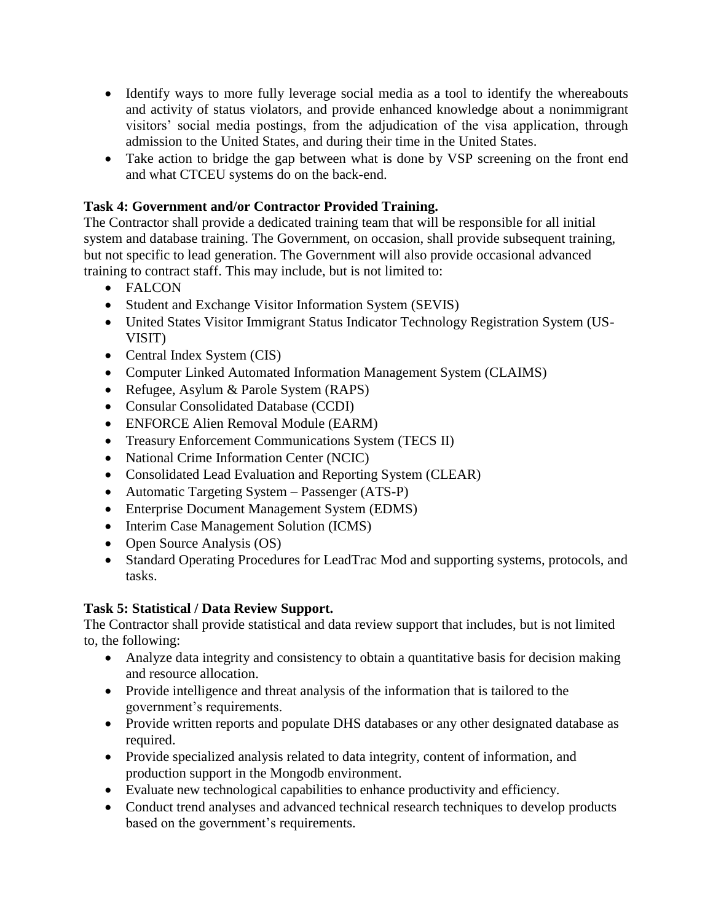- Identify ways to more fully leverage social media as a tool to identify the whereabouts and activity of status violators, and provide enhanced knowledge about a nonimmigrant visitors' social media postings, from the adjudication of the visa application, through admission to the United States, and during their time in the United States.
- Take action to bridge the gap between what is done by VSP screening on the front end and what CTCEU systems do on the back-end.

# **Task 4: Government and/or Contractor Provided Training.**

The Contractor shall provide a dedicated training team that will be responsible for all initial system and database training. The Government, on occasion, shall provide subsequent training, but not specific to lead generation. The Government will also provide occasional advanced training to contract staff. This may include, but is not limited to:

- FALCON
- Student and Exchange Visitor Information System (SEVIS)
- United States Visitor Immigrant Status Indicator Technology Registration System (US-VISIT)
- Central Index System (CIS)
- Computer Linked Automated Information Management System (CLAIMS)
- Refugee, Asylum & Parole System (RAPS)
- Consular Consolidated Database (CCDI)
- ENFORCE Alien Removal Module (EARM)
- Treasury Enforcement Communications System (TECS II)
- National Crime Information Center (NCIC)
- Consolidated Lead Evaluation and Reporting System (CLEAR)
- Automatic Targeting System Passenger (ATS-P)
- Enterprise Document Management System (EDMS)
- Interim Case Management Solution (ICMS)
- Open Source Analysis (OS)
- Standard Operating Procedures for LeadTrac Mod and supporting systems, protocols, and tasks.

### **Task 5: Statistical / Data Review Support.**

The Contractor shall provide statistical and data review support that includes, but is not limited to, the following:

- Analyze data integrity and consistency to obtain a quantitative basis for decision making and resource allocation.
- Provide intelligence and threat analysis of the information that is tailored to the government's requirements.
- Provide written reports and populate DHS databases or any other designated database as required.
- Provide specialized analysis related to data integrity, content of information, and production support in the Mongodb environment.
- Evaluate new technological capabilities to enhance productivity and efficiency.
- Conduct trend analyses and advanced technical research techniques to develop products based on the government's requirements.